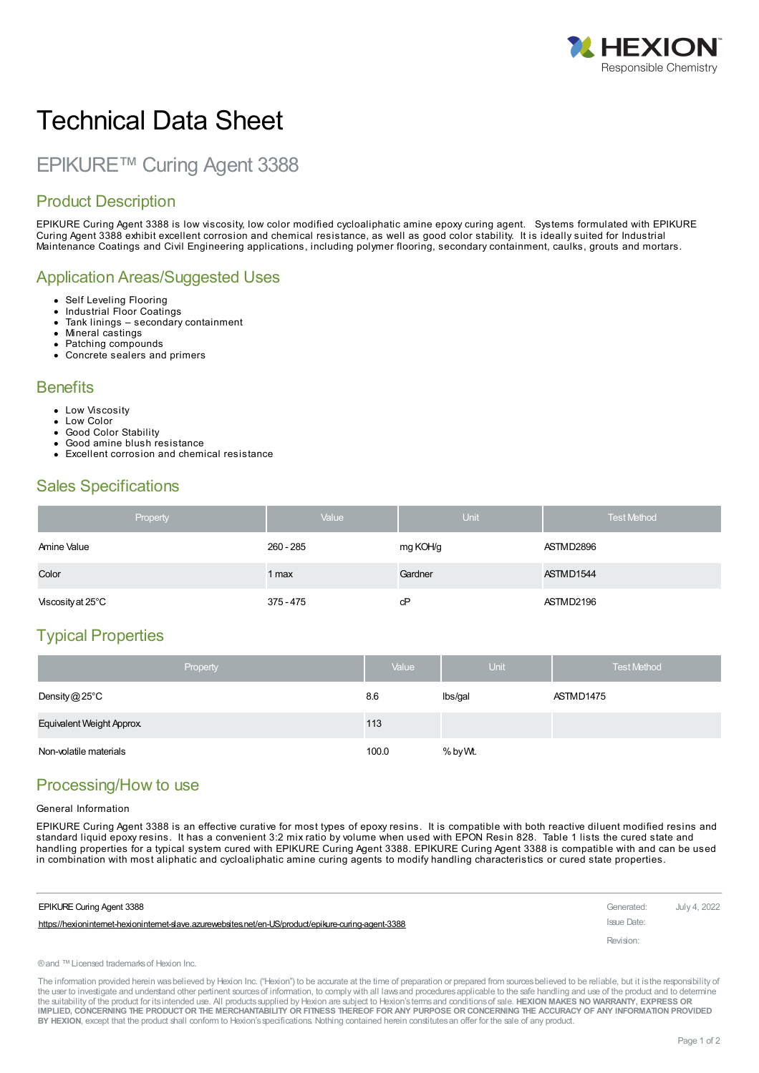

# Technical Data Sheet

## EPIKURE™ Curing Agent 3388

### Product Description

EPIKURE Curing Agent 3388 is low viscosity, low color modified cycloaliphatic amine epoxy curing agent. Systems formulated with EPIKURE Curing Agent 3388 exhibit excellent corrosion and chemical resistance, as well as good color stability. It is ideally suited for Industrial Maintenance Coatings and Civil Engineering applications, including polymer flooring, secondary containment, caulks, grouts and mortars.

#### Application Areas/Suggested Uses

- Self Leveling Flooring  $\bullet$
- Industrial Floor Coatings
- Tank linings secondary containment  $\bullet$
- Mineral castings  $\bullet$
- Patching compounds
- Concrete sealers and primers

#### **Benefits**

- Low Viscosity
- Low Color
- Good Color Stability
- Good amine blush resistance
- Excellent corrosion and chemical resistance

#### Sales Specifications

| Property          | Value     | Unit     | <b>Test Method</b> |
|-------------------|-----------|----------|--------------------|
| Amine Value       | 260 - 285 | mg KOH/g | ASTMD2896          |
| Color             | 1 max     | Gardner  | ASTMD1544          |
| Viscosity at 25°C | 375 - 475 | cP       | ASTMD2196          |

#### Typical Properties

| Property                  | Value | <b>Unit</b> | <b>Test Method</b> |
|---------------------------|-------|-------------|--------------------|
| Density $@25^{\circ}$ C   | 8.6   | Ibs/gal     | ASTMD1475          |
| Equivalent Weight Approx. | 113   |             |                    |
| Non-volatile materials    | 100.0 | % by Wt.    |                    |

#### Processing/How to use

#### General Information

EPIKURE Curing Agent 3388 is an effective curative for most types of epoxy resins. It is compatible with both reactive diluent modified resins and standard liquid epoxy resins. It has a convenient 3:2 mix ratio by volume when used with EPON Resin 828. Table 1 lists the cured state and handling properties for a typical system cured with EPIKURE Curing Agent 3388. EPIKURE Curing Agent 3388 is compatible with and can be used in combination with most aliphatic and cycloaliphatic amine curing agents to modify handling characteristics or cured state properties.

| <b>EPIKURE Curing Agent 3388</b>                                                                    | Generated:  | July 4. 2022 |
|-----------------------------------------------------------------------------------------------------|-------------|--------------|
| https://hexionintemet-hexionintemet-slave.azurewebsites.net/en-US/product/epikure-curing-agent-3388 | Issue Date: |              |
|                                                                                                     | Revision:   |              |

```
®and ™Licensed trademarksof Hexion Inc.
```
The information provided herein was believed by Hexion Inc. ("Hexion") to be accurate at the time of preparation or prepared from sources believed to be reliable, but it is the responsibility of the user to investigate and understand other pertinent sources of information, to comply with all laws and procedures applicable to the safe handling and use of the product and to determine the suitability of the product for itsintended use. All productssupplied by Hexion are subject to Hexion'stermsand conditionsof sale. **HEXION MAKES NO WARRANTY, EXPRESS OR** IMPLIED, CONCERNING THE PRODUCT OR THE MERCHANTABILITY OR FITNESS THEREOF FOR ANY PURPOSE OR CONCERNING THE ACCURACY OF ANY INFORMATION PROVIDED **BY HEXION**, except that the product shall conform to Hexion'sspecifications. Nothing contained herein constitutesan offer for the sale of any product.